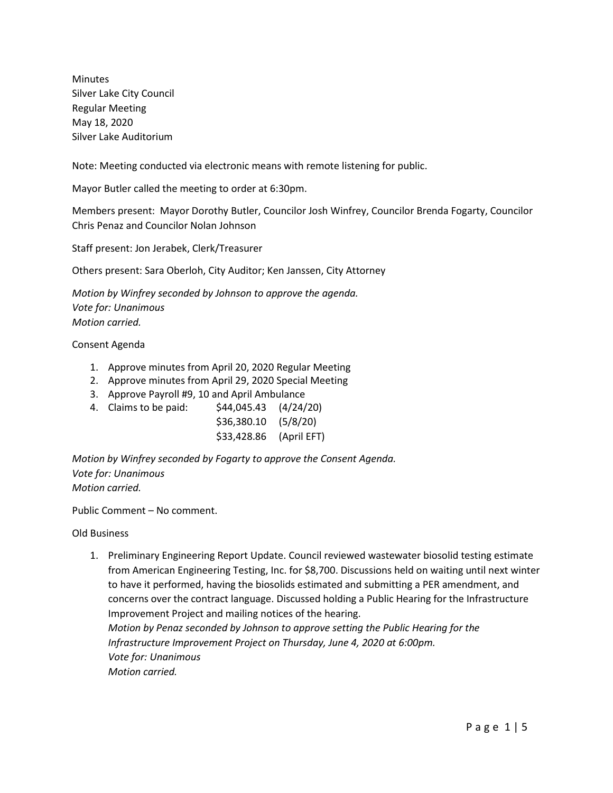Minutes Silver Lake City Council Regular Meeting May 18, 2020 Silver Lake Auditorium

Note: Meeting conducted via electronic means with remote listening for public.

Mayor Butler called the meeting to order at 6:30pm.

Members present: Mayor Dorothy Butler, Councilor Josh Winfrey, Councilor Brenda Fogarty, Councilor Chris Penaz and Councilor Nolan Johnson

Staff present: Jon Jerabek, Clerk/Treasurer

Others present: Sara Oberloh, City Auditor; Ken Janssen, City Attorney

*Motion by Winfrey seconded by Johnson to approve the agenda. Vote for: Unanimous Motion carried.*

## Consent Agenda

- 1. Approve minutes from April 20, 2020 Regular Meeting
- 2. Approve minutes from April 29, 2020 Special Meeting
- 3. Approve Payroll #9, 10 and April Ambulance
- 4. Claims to be paid: \$44,045.43 (4/24/20)

| \$36,380.10 | (5/8/20)    |
|-------------|-------------|
| \$33,428.86 | (April EFT) |

*Motion by Winfrey seconded by Fogarty to approve the Consent Agenda. Vote for: Unanimous Motion carried.*

Public Comment – No comment.

Old Business

1. Preliminary Engineering Report Update. Council reviewed wastewater biosolid testing estimate from American Engineering Testing, Inc. for \$8,700. Discussions held on waiting until next winter to have it performed, having the biosolids estimated and submitting a PER amendment, and concerns over the contract language. Discussed holding a Public Hearing for the Infrastructure Improvement Project and mailing notices of the hearing. *Motion by Penaz seconded by Johnson to approve setting the Public Hearing for the Infrastructure Improvement Project on Thursday, June 4, 2020 at 6:00pm. Vote for: Unanimous Motion carried.*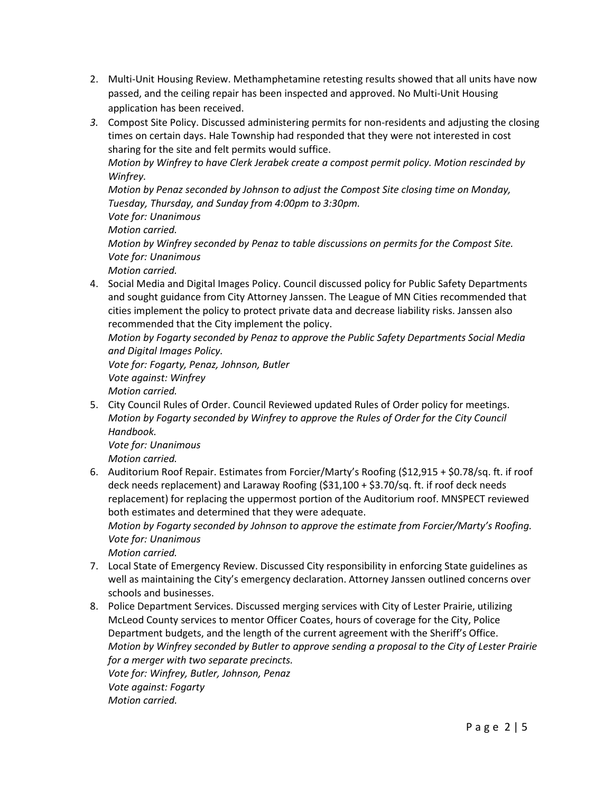- 2. Multi-Unit Housing Review. Methamphetamine retesting results showed that all units have now passed, and the ceiling repair has been inspected and approved. No Multi-Unit Housing application has been received.
- *3.* Compost Site Policy. Discussed administering permits for non-residents and adjusting the closing times on certain days. Hale Township had responded that they were not interested in cost sharing for the site and felt permits would suffice.

*Motion by Winfrey to have Clerk Jerabek create a compost permit policy. Motion rescinded by Winfrey.*

*Motion by Penaz seconded by Johnson to adjust the Compost Site closing time on Monday, Tuesday, Thursday, and Sunday from 4:00pm to 3:30pm.*

*Vote for: Unanimous*

*Motion carried.*

*Motion by Winfrey seconded by Penaz to table discussions on permits for the Compost Site. Vote for: Unanimous*

*Motion carried.*

4. Social Media and Digital Images Policy. Council discussed policy for Public Safety Departments and sought guidance from City Attorney Janssen. The League of MN Cities recommended that cities implement the policy to protect private data and decrease liability risks. Janssen also recommended that the City implement the policy.

*Motion by Fogarty seconded by Penaz to approve the Public Safety Departments Social Media and Digital Images Policy.*

*Vote for: Fogarty, Penaz, Johnson, Butler Vote against: Winfrey Motion carried.*

5. City Council Rules of Order. Council Reviewed updated Rules of Order policy for meetings. *Motion by Fogarty seconded by Winfrey to approve the Rules of Order for the City Council Handbook.*

*Vote for: Unanimous*

*Motion carried.*

6. Auditorium Roof Repair. Estimates from Forcier/Marty's Roofing (\$12,915 + \$0.78/sq. ft. if roof deck needs replacement) and Laraway Roofing (\$31,100 + \$3.70/sq. ft. if roof deck needs replacement) for replacing the uppermost portion of the Auditorium roof. MNSPECT reviewed both estimates and determined that they were adequate.

*Motion by Fogarty seconded by Johnson to approve the estimate from Forcier/Marty's Roofing. Vote for: Unanimous*

*Motion carried.*

- 7. Local State of Emergency Review. Discussed City responsibility in enforcing State guidelines as well as maintaining the City's emergency declaration. Attorney Janssen outlined concerns over schools and businesses.
- 8. Police Department Services. Discussed merging services with City of Lester Prairie, utilizing McLeod County services to mentor Officer Coates, hours of coverage for the City, Police Department budgets, and the length of the current agreement with the Sheriff's Office. *Motion by Winfrey seconded by Butler to approve sending a proposal to the City of Lester Prairie for a merger with two separate precincts. Vote for: Winfrey, Butler, Johnson, Penaz Vote against: Fogarty Motion carried.*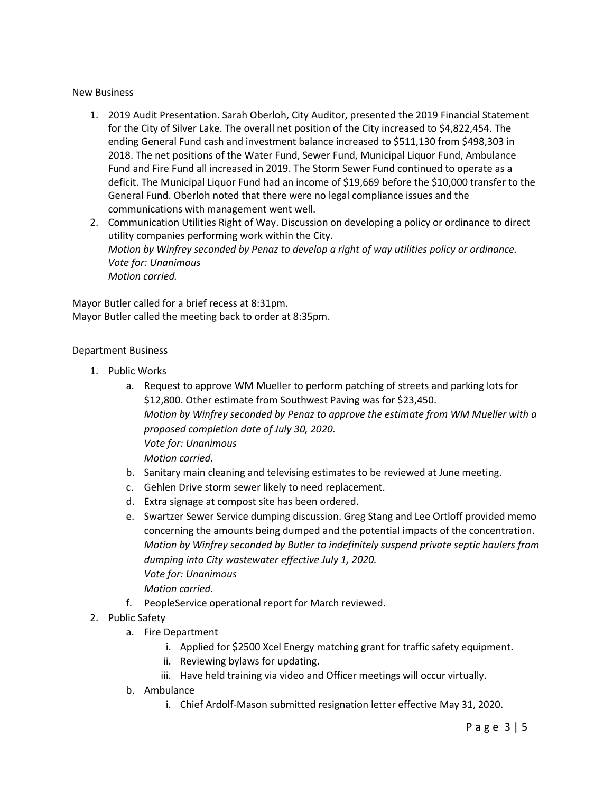## New Business

1. 2019 Audit Presentation. Sarah Oberloh, City Auditor, presented the 2019 Financial Statement for the City of Silver Lake. The overall net position of the City increased to \$4,822,454. The ending General Fund cash and investment balance increased to \$511,130 from \$498,303 in 2018. The net positions of the Water Fund, Sewer Fund, Municipal Liquor Fund, Ambulance Fund and Fire Fund all increased in 2019. The Storm Sewer Fund continued to operate as a deficit. The Municipal Liquor Fund had an income of \$19,669 before the \$10,000 transfer to the General Fund. Oberloh noted that there were no legal compliance issues and the communications with management went well.

2. Communication Utilities Right of Way. Discussion on developing a policy or ordinance to direct utility companies performing work within the City. *Motion by Winfrey seconded by Penaz to develop a right of way utilities policy or ordinance. Vote for: Unanimous Motion carried.*

Mayor Butler called for a brief recess at 8:31pm. Mayor Butler called the meeting back to order at 8:35pm.

## Department Business

- 1. Public Works
	- a. Request to approve WM Mueller to perform patching of streets and parking lots for \$12,800. Other estimate from Southwest Paving was for \$23,450. *Motion by Winfrey seconded by Penaz to approve the estimate from WM Mueller with a proposed completion date of July 30, 2020. Vote for: Unanimous Motion carried.*
	- b. Sanitary main cleaning and televising estimates to be reviewed at June meeting.
	- c. Gehlen Drive storm sewer likely to need replacement.
	- d. Extra signage at compost site has been ordered.
	- e. Swartzer Sewer Service dumping discussion. Greg Stang and Lee Ortloff provided memo concerning the amounts being dumped and the potential impacts of the concentration. *Motion by Winfrey seconded by Butler to indefinitely suspend private septic haulers from dumping into City wastewater effective July 1, 2020. Vote for: Unanimous*

*Motion carried.* 

- f. PeopleService operational report for March reviewed.
- 2. Public Safety
	- a. Fire Department
		- i. Applied for \$2500 Xcel Energy matching grant for traffic safety equipment.
		- ii. Reviewing bylaws for updating.
		- iii. Have held training via video and Officer meetings will occur virtually.
	- b. Ambulance
		- i. Chief Ardolf-Mason submitted resignation letter effective May 31, 2020.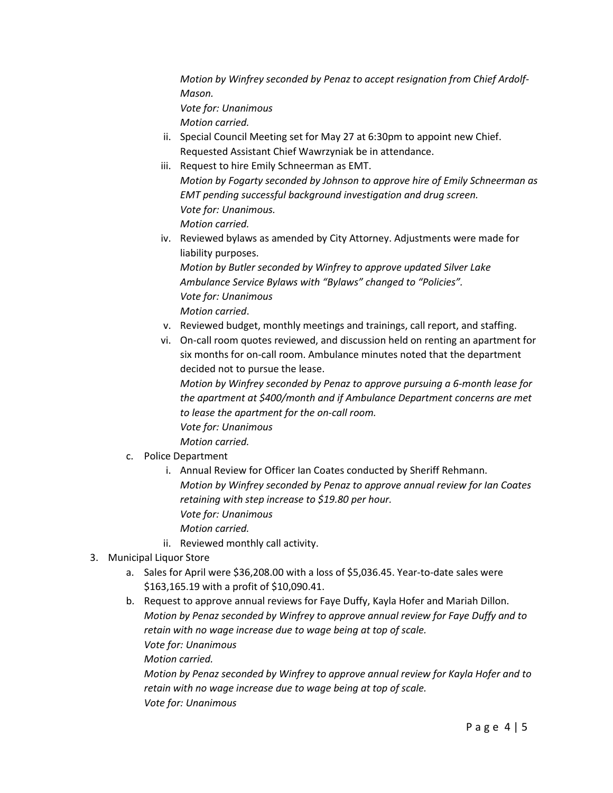*Motion by Winfrey seconded by Penaz to accept resignation from Chief Ardolf-Mason. Vote for: Unanimous*

*Motion carried.*

- ii. Special Council Meeting set for May 27 at 6:30pm to appoint new Chief. Requested Assistant Chief Wawrzyniak be in attendance.
- iii. Request to hire Emily Schneerman as EMT. *Motion by Fogarty seconded by Johnson to approve hire of Emily Schneerman as EMT pending successful background investigation and drug screen. Vote for: Unanimous. Motion carried.*
- iv. Reviewed bylaws as amended by City Attorney. Adjustments were made for liability purposes. *Motion by Butler seconded by Winfrey to approve updated Silver Lake Ambulance Service Bylaws with "Bylaws" changed to "Policies". Vote for: Unanimous Motion carried*.
- v. Reviewed budget, monthly meetings and trainings, call report, and staffing.
- vi. On-call room quotes reviewed, and discussion held on renting an apartment for six months for on-call room. Ambulance minutes noted that the department decided not to pursue the lease.

*Motion by Winfrey seconded by Penaz to approve pursuing a 6-month lease for the apartment at \$400/month and if Ambulance Department concerns are met to lease the apartment for the on-call room. Vote for: Unanimous*

c. Police Department

*Motion carried.*

- i. Annual Review for Officer Ian Coates conducted by Sheriff Rehmann. *Motion by Winfrey seconded by Penaz to approve annual review for Ian Coates retaining with step increase to \$19.80 per hour. Vote for: Unanimous Motion carried.*
- ii. Reviewed monthly call activity.
- 3. Municipal Liquor Store
	- a. Sales for April were \$36,208.00 with a loss of \$5,036.45. Year-to-date sales were \$163,165.19 with a profit of \$10,090.41.
	- b. Request to approve annual reviews for Faye Duffy, Kayla Hofer and Mariah Dillon. *Motion by Penaz seconded by Winfrey to approve annual review for Faye Duffy and to retain with no wage increase due to wage being at top of scale. Vote for: Unanimous*

*Motion carried.*

*Motion by Penaz seconded by Winfrey to approve annual review for Kayla Hofer and to retain with no wage increase due to wage being at top of scale. Vote for: Unanimous*